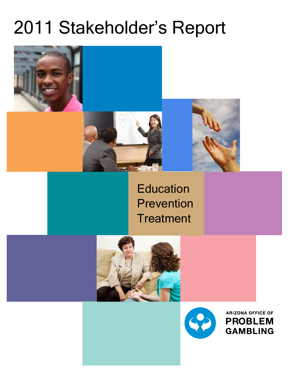# 2011 Stakeholder's Report







## **Education** Prevention **Treatment**



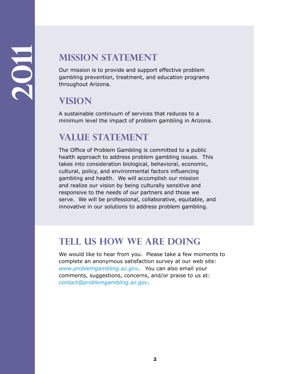### **Mission Statement**

Our mission is to provide and support effective problem gambling prevention, treatment, and education programs throughout Arizona.

### **Vision**

A sustainable continuum of services that reduces to a minimum level the impact of problem gambling in Arizona.

### **Value Statement**

The Office of Problem Gambling is committed to a public health approach to address problem gambling issues. This takes into consideration biological, behavioral, economic, cultural, policy, and environmental factors influencing gambling and health. We will accomplish our mission and realize our vision by being culturally sensitive and responsive to the needs of our partners and those we serve. We will be professional, collaborative, equitable, and innovative in our solutions to address problem gambling.

### **Tell Us How We Are Doing**

We would like to hear from you. Please take a few moments to complete an anonymous satisfaction survey at our web site: *www.problemgambling.az.gov*. You can also email your comments, suggestions, concerns, and/or praise to us at: *contact@problemgambling.az.gov*.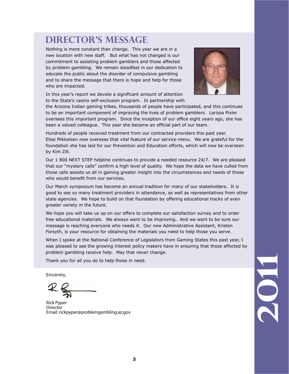### **Director's MessAGE**

Nothing is more constant than change. This year we are in a new location with new staff. But what has not changed is our commitment to assisting problem gamblers and those affected by problem gambling. We remain steadfast in our dedication to educate the public about the disorder of compulsive gambling and to share the message that there is hope and help for those who are impacted.

In this year's report we devote a significant amount of attention to the State's casino self-exclusion program. In partnership with



the Arizona Indian gaming tribes, thousands of people have participated, and this continues to be an important component of improving the lives of problem gamblers. Larissa Pixler oversees this important program. Since the inception of our office eight years ago, she has been a valued colleague. This year she became an official part of our team.

Hundreds of people received treatment from our contracted providers this past year. Elise Mikkelsen now oversees that vital feature of our service menu. We are grateful for the foundation she has laid for our Prevention and Education efforts, which will now be overseen by Kim Zill.

Our 1 800 NEXT STEP helpline continues to provide a needed resource 24/7. We are pleased that our "mystery calls" confirm a high level of quality. We hope the data we have culled from those calls assists us all in gaining greater insight into the circumstances and needs of those who would benefit from our services.

Our March symposium has become an annual tradition for many of our stakeholders. It is good to see so many treatment providers in attendance, as well as representatives from other state agencies. We hope to build on that foundation by offering educational tracks of even greater variety in the future.

We hope you will take us up on our offers to complete our satisfaction survey and to order free educational materials. We always want to be improving. And we want to be sure our message is reaching everyone who needs it. Our new Administrative Assistant, Kristen Forsyth, is your resource for obtaining the materials you need to help those you serve.

When I spoke at the National Conference of Legislators from Gaming States this past year, I was pleased to see the growing interest policy makers have in ensuring that those affected by problem gambling receive help. May that never change.

Thank you for all you do to help those in need.

Sincerely,

Rick Pyper **Director** Email: rickpyper@problemgambling.az.gov

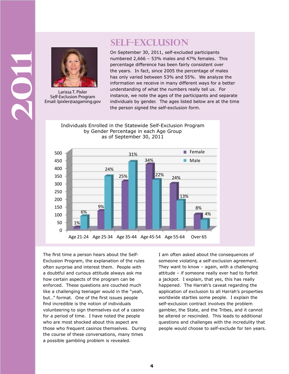### **Self-Exclusion**



Larissa T. Pixler Self-Exclusion Program Email: lpixler@azgaming.gov

**2011**

On September 30, 2011, self-excluded participants numbered 2,666 – 53% males and 47% females. This percentage difference has been fairly consistent over the years. In fact, since 2005 the percentage of males has only varied between 53% and 55%. We analyze the information we receive in many different ways for a better understanding of what the numbers really tell us. For instance, we note the ages of the participants and separate individuals by gender. The ages listed below are at the time the person signed the self-exclusion form.

Individuals Enrolled in the Statewide Self-Exclusion Program by Gender Percentage in each Age Group as of September 30, 2011



The first time a person hears about the Self-Exclusion Program, the explanation of the rules often surprise and interest them. People with a doubtful and curious attitude always ask me how certain aspects of the program can be enforced. These questions are couched much like a challenging teenager would in the "yeah, but…" format. One of the first issues people find incredible is the notion of individuals volunteering to sign themselves out of a casino for a period of time. I have noted the people who are most shocked about this aspect are those who frequent casinos themselves. During the course of these conversations, many times a possible gambling problem is revealed.

I am often asked about the consequences of someone violating a self-exclusion agreement. They want to know – again, with a challenging attitude – if someone really ever had to forfeit a jackpot. I explain, that yes, this has really happened. The Harrah's caveat regarding the application of exclusion to all Harrah's properties worldwide startles some people. I explain the self-exclusion contract involves the problem gambler, the State, and the Tribes, and it cannot be altered or rescinded. This leads to additional questions and challenges with the incredulity that people would choose to self-exclude for ten years.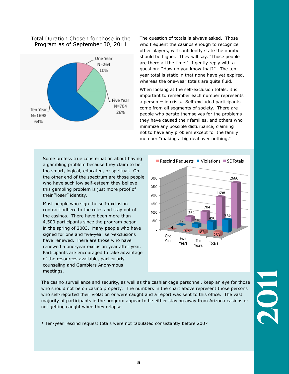### Total Duration Chosen for those in the Program as of September 30, 2011



The question of totals is always asked. Those who frequent the casinos enough to recognize other players, will confidently state the number should be higher. They will say, "Those people are there all the time!" I gently reply with a question: "How do you know that?" The tenyear total is static in that none have yet expired, whereas the one-year totals are quite fluid.

When looking at the self-exclusion totals, it is important to remember each number represents  $a$  person  $-$  in crisis. Self-excluded participants come from all segments of society. There are people who berate themselves for the problems they have caused their families, and others who minimize any possible disturbance, claiming not to have any problem except for the family member "making a big deal over nothing."

Some profess true consternation about having a gambling problem because they claim to be too smart, logical, educated, or spiritual. On the other end of the spectrum are those people who have such low self-esteem they believe this gambling problem is just more proof of their "loser" identity.

Most people who sign the self-exclusion contract adhere to the rules and stay out of the casinos. There have been more than 4,500 participants since the program began in the spring of 2003. Many people who have signed for one and five-year self-exclusions have renewed. There are those who have renewed a one-year exclusion year after year. Participants are encouraged to take advantage of the resources available, particularly counseling and Gamblers Anonymous meetings.



The casino surveillance and security, as well as the cashier cage personnel, keep an eye for those who should not be on casino property. The numbers in the chart above represent those persons who self-reported their violation or were caught and a report was sent to this office. The vast majority of participants in the program appear to be either staying away from Arizona casinos or not getting caught when they relapse.

\* Ten-year rescind request totals were not tabulated consistantly before 2007

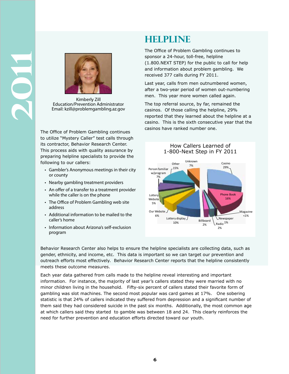

Kimberly Zill Education/Prevention Administrator Email: kzill@problemgambling.az.gov

The Office of Problem Gambling continues to utilize "Mystery Caller" test calls through its contractor, Behavior Research Center. This process aids with quality assurance by preparing helpline specialists to provide the following to our callers:

- Gambler's Anonymous meetings in their city or county
- Nearby gambling treatment providers
- An offer of a transfer to a treatment provider while the caller is on the phone
- The Office of Problem Gambling web site address
- Additional information to be mailed to the caller's home
- Information about Arizona's self-exclusion program

### **HELPLINE**

The Office of Problem Gambling continues to sponsor a 24-hour, toll-free, helpline (1.800.NEXT STEP) for the public to call for help and information about problem gambling. We received 377 calls during FY 2011.

Last year, calls from men outnumbered women, after a two-year period of women out-numbering men. This year more women called again.

The top referral source, by far, remained the casinos. Of those calling the helpline, 29% reported that they learned about the helpline at a casino. This is the sixth consecutive year that the casinos have ranked number one.



Behavior Research Center also helps to ensure the helpline specialists are collecting data, such as gender, ethnicity, and income, etc. This data is important so we can target our prevention and outreach efforts most effectively. Behavior Research Center reports that the helpline consistently meets these outcome measures.

Each year data gathered from calls made to the helpline reveal interesting and important information. For instance, the majority of last year's callers stated they were married with no minor children living in the household. Fifty-six percent of callers stated their favorite form of gambling was slot machines. The second most popular was card games at 17%. One sobering statistic is that 24% of callers indicated they suffered from depression and a significant number of them said they had considered suicide in the past six months. Additionally, the most common age at which callers said they started to gamble was between 18 and 24. This clearly reinforces the need for further prevention and education efforts directed toward our youth.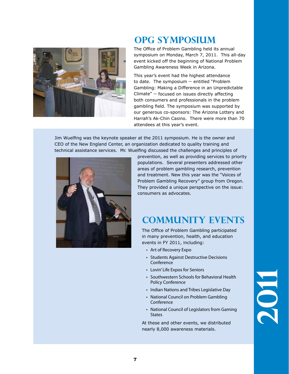

### **OPG sYMPOSIUM**

The Office of Problem Gambling held its annual symposium on Monday, March 7, 2011. This all-day event kicked off the beginning of National Problem Gambling Awareness Week in Arizona.

This year's event had the highest attendance to date. The symposium  $-$  entitled "Problem Gambling: Making a Difference in an Unpredictable  $Climate'' - focused$  on issues directly affecting both consumers and professionals in the problem gambling field. The symposium was supported by our generous co-sponsors: The Arizona Lottery and Harrah's Ak-Chin Casino. There were more than 70 attendees at this year's event.

Jim Wuelfing was the keynote speaker at the 2011 symposium. He is the owner and CEO of the New England Center, an organization dedicated to quality training and technical assistance services. Mr. Wuelfing discussed the challenges and principles of



prevention, as well as providing services to priority populations. Several presenters addressed other areas of problem gambling research, prevention and treatment. New this year was the "Voices of Problem Gambling Recovery" group from Oregon. They provided a unique perspective on the issue: consumers as advocates.

### **cOMMUNITY eVENTS**

The Office of Problem Gambling participated in many prevention, health, and education events in FY 2011, including:

- Art of Recovery Expo
- Students Against Destructive Decisions Conference
- Lovin' Life Expos for Seniors
- Southwestern Schools for Behavioral Health Policy Conference
- Indian Nations and Tribes Legislative Day
- National Council on Problem Gambling Conference
- National Council of Legislators from Gaming **States**

At these and other events, we distributed nearly 8,000 awareness materials.

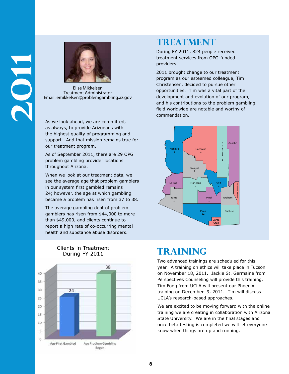

Elise Mikkelsen Treatment Administrator Email: emikkelsen@problemgambling.az.gov

As we look ahead, we are committed, as always, to provide Arizonans with the highest quality of programming and support. And that mission remains true for our treatment program.

As of September 2011, there are 29 OPG problem gambling provider locations throughout Arizona.

When we look at our treatment data, we see the average age that problem gamblers in our system first gambled remains 24; however, the age at which gambling became a problem has risen from 37 to 38.

The average gambling debt of problem gamblers has risen from \$44,000 to more than \$49,000, and clients continue to report a high rate of co-occurring mental health and substance abuse disorders.



#### **Clients in Treatment**<br> **TRAINING** During FY 2011

### **TREATMENT**

During FY 2011, 824 people received treatment services from OPG-funded providers.

2011 brought change to our treatment program as our esteemed colleague, Tim Christensen, decided to pursue other opportunities. Tim was a vital part of the development and evolution of our program, and his contributions to the problem gambling field worldwide are notable and worthy of commendation.



Two advanced trainings are scheduled for this year. A training on ethics will take place in Tucson on November 18, 2011. Jackie St. Germaine from Perspectives Counseling will provide this training. Tim Fong from UCLA will present our Phoenix training on December 9, 2011. Tim will discuss UCLA's research-based approaches.

We are excited to be moving forward with the online training we are creating in collaboration with Arizona State University. We are in the final stages and once beta testing is completed we will let everyone know when things are up and running.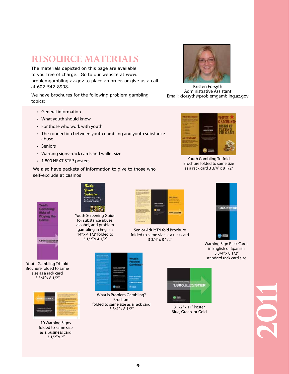### **resource materials**

The materials depicted on this page are available to you free of charge. Go to our website at www. problemgambling.az.gov to place an order, or give us a call at 602-542-8998.

We have brochures for the following problem gambling topics:

- General information
- What youth should know
- For those who work with youth
- The connection between youth gambling and youth substance abuse
- Seniors
- Warning signs--rack cards and wallet size
- 1.800.NEXT STEP posters

We also have packets of information to give to those who self-exclude at casinos.



Kristen Forsyth Administrative Assistant Email: kforsyth@problemgambling.az.gov



Youth Gambling Tri-fold Brochure folded to same size as a rack card 3 3/4" x 8 1/2"

amb Risks of **Playing the** Game 1.600.ICETTSTER

Youth Gambling Tri-fold Brochure folded to same size as a rack card 3 3/4" x 8 1/2"



10 Warning Signs folded to same size as a business card 3 1/2" x 2"



Youth Screening Guide for substance abuse, alcohol, and problem gambling in English 14" x 4 1/2" folded to 3 1/2" x 4 1/2"



Senior Adult Tri-fold Brochure folded to same size as a rack card 3 3/4" x 8 1/2"



Warning Sign Rack Cards in English or Spanish 3 3/4" x 8 1/2" standard rack card size



What is Problem Gambling? Brochure folded to same size as a rack card 3 3/4" x 8 1/2"



8 1/2" x 11" Poster Blue, Green, or Gold